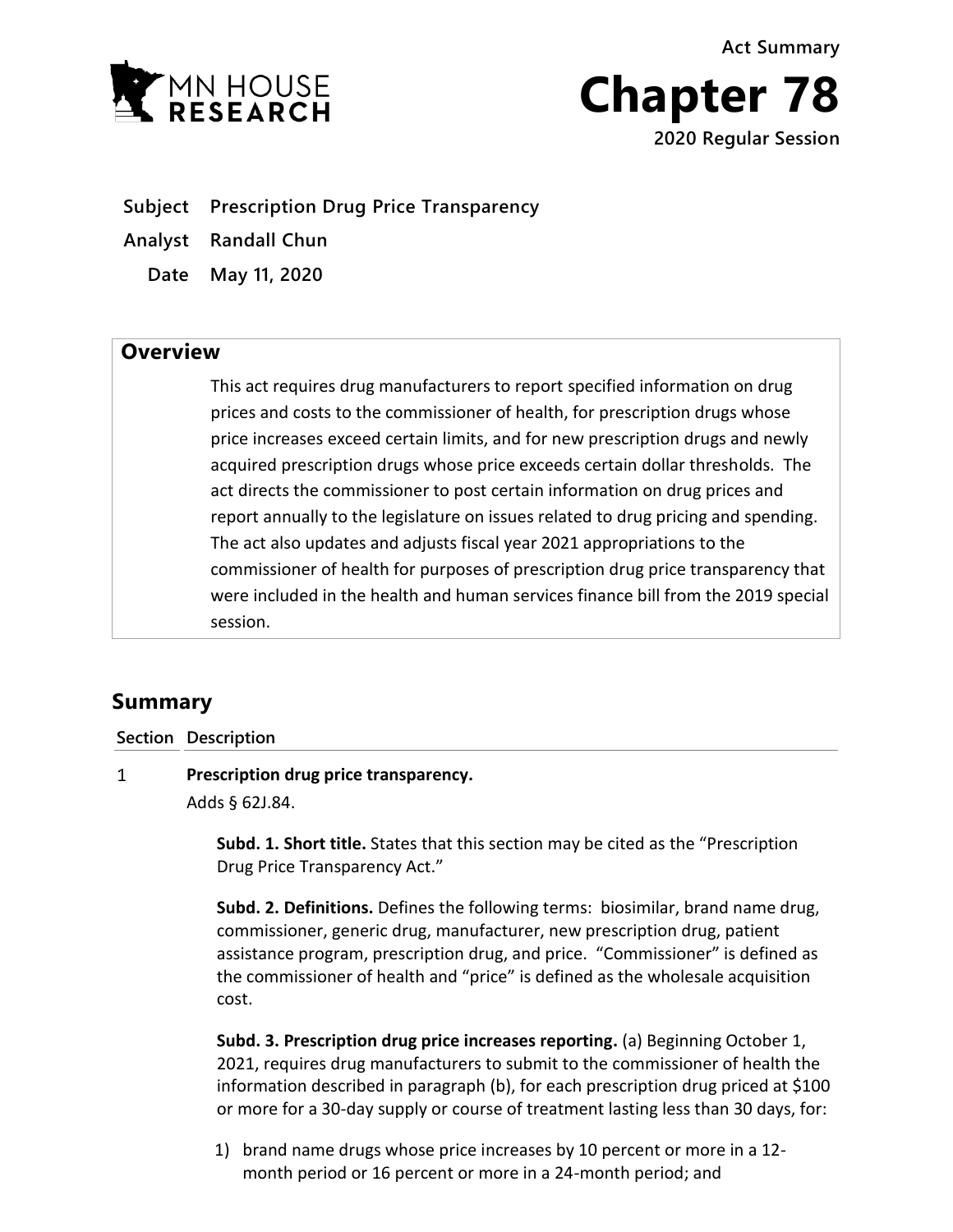**EXAN HOUSE** 



**Subject Prescription Drug Price Transparency**

**Analyst Randall Chun** 

**Date May 11, 2020**

## **Overview**

This act requires drug manufacturers to report specified information on drug prices and costs to the commissioner of health, for prescription drugs whose price increases exceed certain limits, and for new prescription drugs and newly acquired prescription drugs whose price exceeds certain dollar thresholds. The act directs the commissioner to post certain information on drug prices and report annually to the legislature on issues related to drug pricing and spending. The act also updates and adjusts fiscal year 2021 appropriations to the commissioner of health for purposes of prescription drug price transparency that were included in the health and human services finance bill from the 2019 special session.

# **Summary**

**Section Description**

 $\mathbf{1}$ **Prescription drug price transparency.**

Adds § 62J.84.

**Subd. 1. Short title.** States that this section may be cited as the "Prescription Drug Price Transparency Act."

**Subd. 2. Definitions.** Defines the following terms: biosimilar, brand name drug, commissioner, generic drug, manufacturer, new prescription drug, patient assistance program, prescription drug, and price. "Commissioner" is defined as the commissioner of health and "price" is defined as the wholesale acquisition cost.

**Subd. 3. Prescription drug price increases reporting.** (a) Beginning October 1, 2021, requires drug manufacturers to submit to the commissioner of health the information described in paragraph (b), for each prescription drug priced at \$100 or more for a 30-day supply or course of treatment lasting less than 30 days, for:

1) brand name drugs whose price increases by 10 percent or more in a 12 month period or 16 percent or more in a 24-month period; and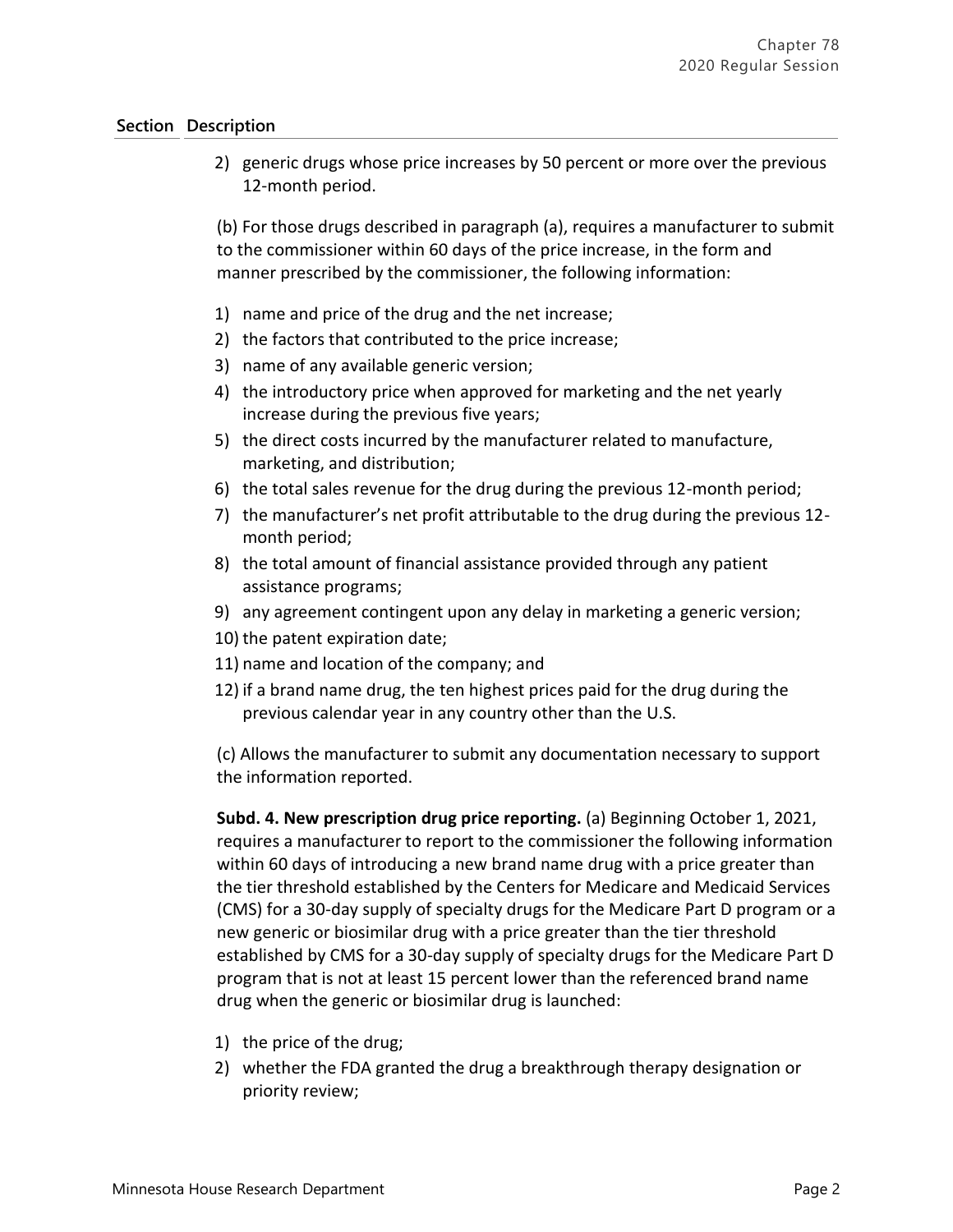2) generic drugs whose price increases by 50 percent or more over the previous 12-month period.

(b) For those drugs described in paragraph (a), requires a manufacturer to submit to the commissioner within 60 days of the price increase, in the form and manner prescribed by the commissioner, the following information:

- 1) name and price of the drug and the net increase;
- 2) the factors that contributed to the price increase;
- 3) name of any available generic version;
- 4) the introductory price when approved for marketing and the net yearly increase during the previous five years;
- 5) the direct costs incurred by the manufacturer related to manufacture, marketing, and distribution;
- 6) the total sales revenue for the drug during the previous 12-month period;
- 7) the manufacturer's net profit attributable to the drug during the previous 12 month period;
- 8) the total amount of financial assistance provided through any patient assistance programs;
- 9) any agreement contingent upon any delay in marketing a generic version;
- 10) the patent expiration date;
- 11) name and location of the company; and
- 12) if a brand name drug, the ten highest prices paid for the drug during the previous calendar year in any country other than the U.S.

(c) Allows the manufacturer to submit any documentation necessary to support the information reported.

**Subd. 4. New prescription drug price reporting.** (a) Beginning October 1, 2021, requires a manufacturer to report to the commissioner the following information within 60 days of introducing a new brand name drug with a price greater than the tier threshold established by the Centers for Medicare and Medicaid Services (CMS) for a 30-day supply of specialty drugs for the Medicare Part D program or a new generic or biosimilar drug with a price greater than the tier threshold established by CMS for a 30-day supply of specialty drugs for the Medicare Part D program that is not at least 15 percent lower than the referenced brand name drug when the generic or biosimilar drug is launched:

- 1) the price of the drug;
- 2) whether the FDA granted the drug a breakthrough therapy designation or priority review;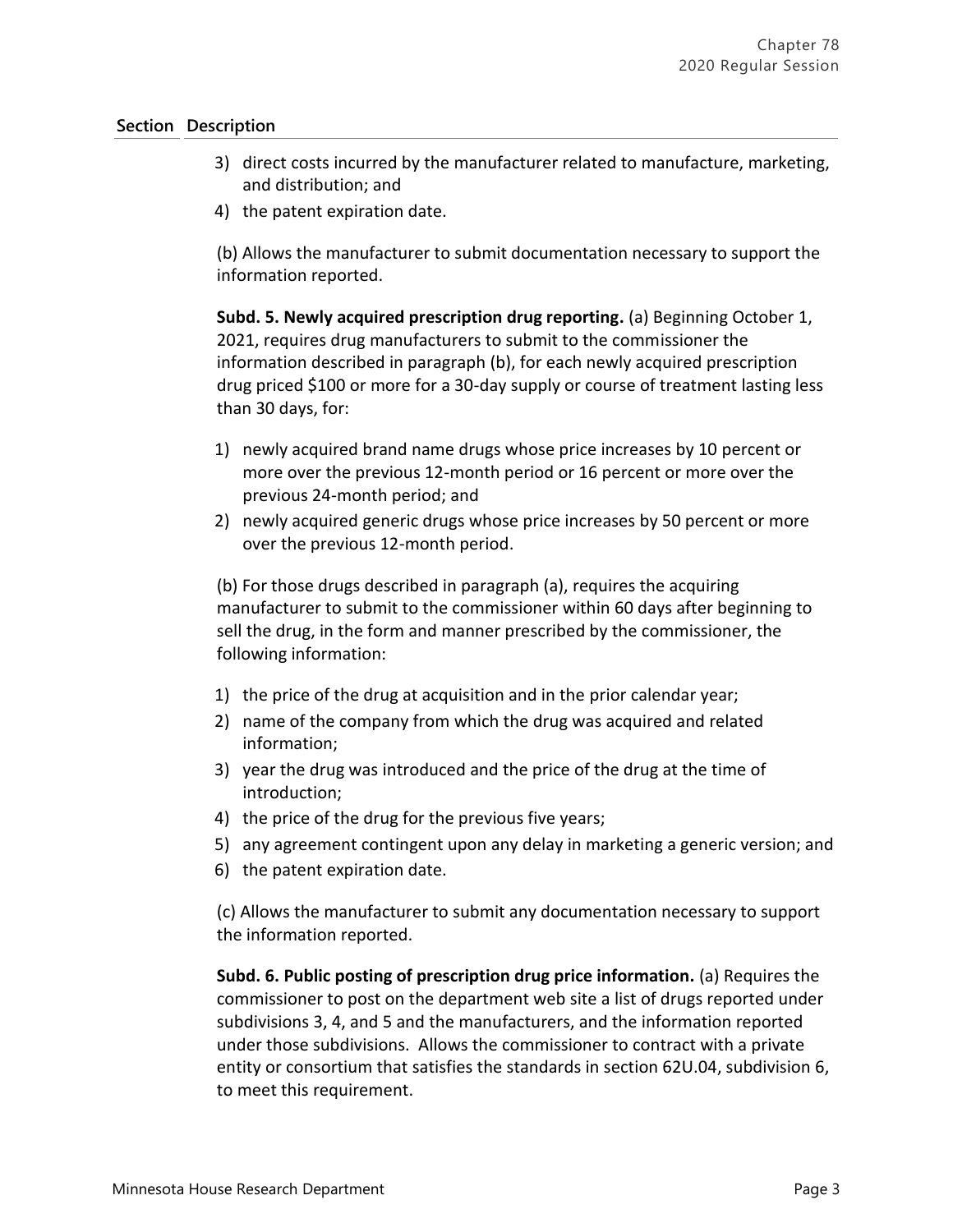- 3) direct costs incurred by the manufacturer related to manufacture, marketing, and distribution; and
- 4) the patent expiration date.

(b) Allows the manufacturer to submit documentation necessary to support the information reported.

**Subd. 5. Newly acquired prescription drug reporting.** (a) Beginning October 1, 2021, requires drug manufacturers to submit to the commissioner the information described in paragraph (b), for each newly acquired prescription drug priced \$100 or more for a 30-day supply or course of treatment lasting less than 30 days, for:

- 1) newly acquired brand name drugs whose price increases by 10 percent or more over the previous 12-month period or 16 percent or more over the previous 24-month period; and
- 2) newly acquired generic drugs whose price increases by 50 percent or more over the previous 12-month period.

(b) For those drugs described in paragraph (a), requires the acquiring manufacturer to submit to the commissioner within 60 days after beginning to sell the drug, in the form and manner prescribed by the commissioner, the following information:

- 1) the price of the drug at acquisition and in the prior calendar year;
- 2) name of the company from which the drug was acquired and related information;
- 3) year the drug was introduced and the price of the drug at the time of introduction;
- 4) the price of the drug for the previous five years;
- 5) any agreement contingent upon any delay in marketing a generic version; and
- 6) the patent expiration date.

(c) Allows the manufacturer to submit any documentation necessary to support the information reported.

**Subd. 6. Public posting of prescription drug price information.** (a) Requires the commissioner to post on the department web site a list of drugs reported under subdivisions 3, 4, and 5 and the manufacturers, and the information reported under those subdivisions. Allows the commissioner to contract with a private entity or consortium that satisfies the standards in section 62U.04, subdivision 6, to meet this requirement.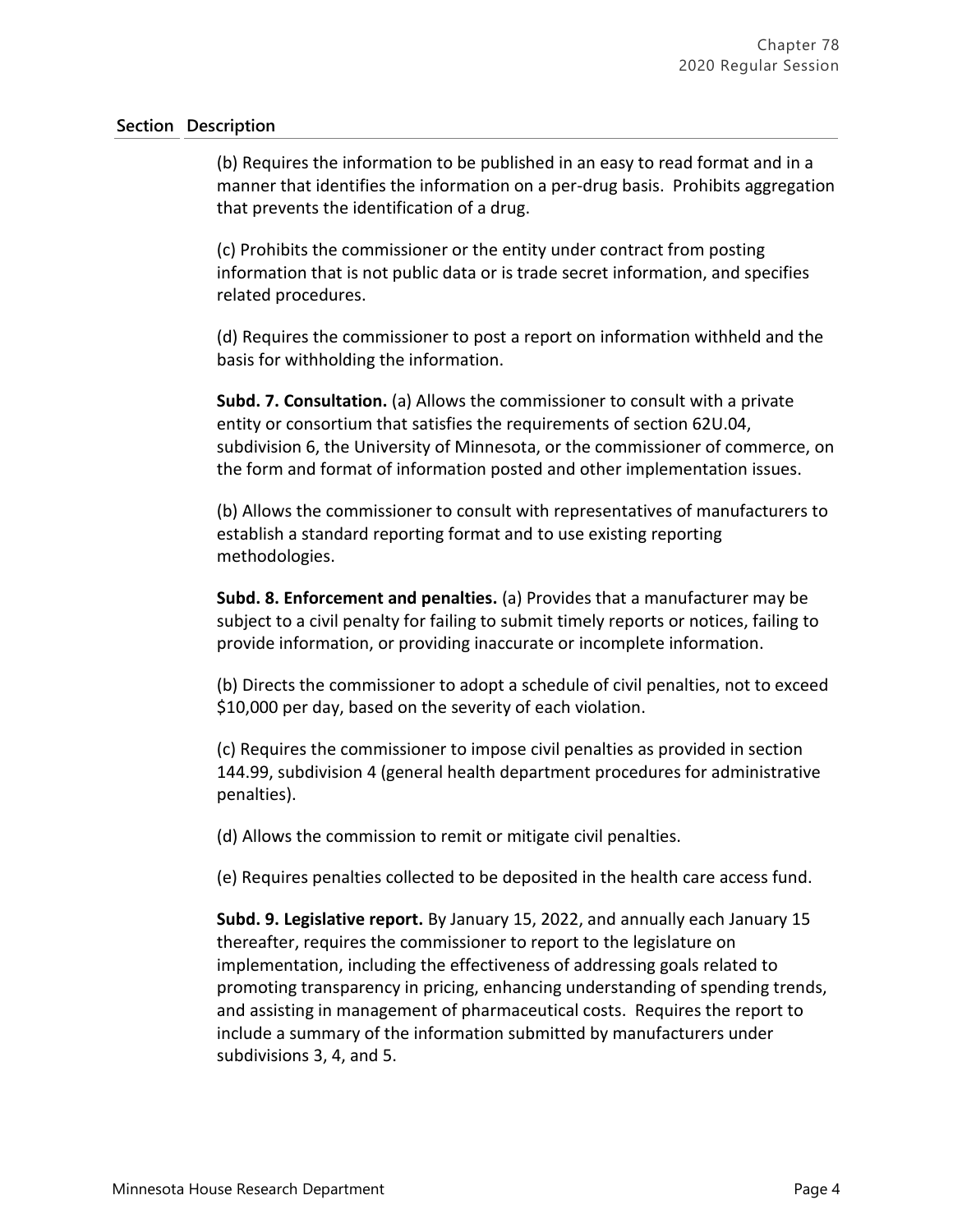(b) Requires the information to be published in an easy to read format and in a manner that identifies the information on a per-drug basis. Prohibits aggregation that prevents the identification of a drug.

(c) Prohibits the commissioner or the entity under contract from posting information that is not public data or is trade secret information, and specifies related procedures.

(d) Requires the commissioner to post a report on information withheld and the basis for withholding the information.

**Subd. 7. Consultation.** (a) Allows the commissioner to consult with a private entity or consortium that satisfies the requirements of section 62U.04, subdivision 6, the University of Minnesota, or the commissioner of commerce, on the form and format of information posted and other implementation issues.

(b) Allows the commissioner to consult with representatives of manufacturers to establish a standard reporting format and to use existing reporting methodologies.

**Subd. 8. Enforcement and penalties.** (a) Provides that a manufacturer may be subject to a civil penalty for failing to submit timely reports or notices, failing to provide information, or providing inaccurate or incomplete information.

(b) Directs the commissioner to adopt a schedule of civil penalties, not to exceed \$10,000 per day, based on the severity of each violation.

(c) Requires the commissioner to impose civil penalties as provided in section 144.99, subdivision 4 (general health department procedures for administrative penalties).

(d) Allows the commission to remit or mitigate civil penalties.

(e) Requires penalties collected to be deposited in the health care access fund.

**Subd. 9. Legislative report.** By January 15, 2022, and annually each January 15 thereafter, requires the commissioner to report to the legislature on implementation, including the effectiveness of addressing goals related to promoting transparency in pricing, enhancing understanding of spending trends, and assisting in management of pharmaceutical costs. Requires the report to include a summary of the information submitted by manufacturers under subdivisions 3, 4, and 5.